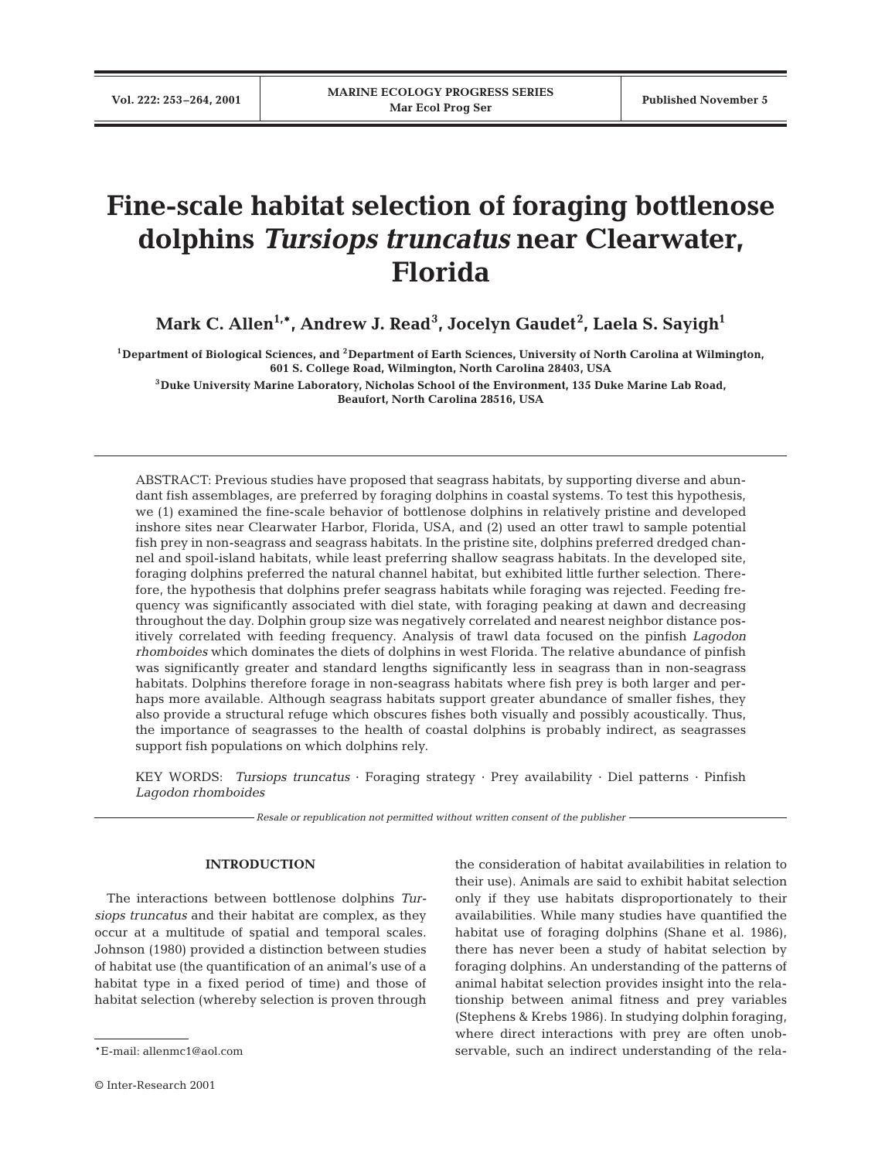# **Fine-scale habitat selection of foraging bottlenose dolphins** *Tursiops truncatus* **near Clearwater, Florida**

**Mark C. Allen1,\*, Andrew J. Read3 , Jocelyn Gaudet<sup>2</sup> , Laela S. Sayigh1**

**1Department of Biological Sciences, and 2Department of Earth Sciences, University of North Carolina at Wilmington, 601 S. College Road, Wilmington, North Carolina 28403, USA**

**3Duke University Marine Laboratory, Nicholas School of the Environment, 135 Duke Marine Lab Road, Beaufort, North Carolina 28516, USA**

ABSTRACT: Previous studies have proposed that seagrass habitats, by supporting diverse and abundant fish assemblages, are preferred by foraging dolphins in coastal systems. To test this hypothesis, we (1) examined the fine-scale behavior of bottlenose dolphins in relatively pristine and developed inshore sites near Clearwater Harbor, Florida, USA, and (2) used an otter trawl to sample potential fish prey in non-seagrass and seagrass habitats. In the pristine site, dolphins preferred dredged channel and spoil-island habitats, while least preferring shallow seagrass habitats. In the developed site, foraging dolphins preferred the natural channel habitat, but exhibited little further selection. Therefore, the hypothesis that dolphins prefer seagrass habitats while foraging was rejected. Feeding frequency was significantly associated with diel state, with foraging peaking at dawn and decreasing throughout the day. Dolphin group size was negatively correlated and nearest neighbor distance positively correlated with feeding frequency. Analysis of trawl data focused on the pinfish *Lagodon rhomboides* which dominates the diets of dolphins in west Florida. The relative abundance of pinfish was significantly greater and standard lengths significantly less in seagrass than in non-seagrass habitats. Dolphins therefore forage in non-seagrass habitats where fish prey is both larger and perhaps more available. Although seagrass habitats support greater abundance of smaller fishes, they also provide a structural refuge which obscures fishes both visually and possibly acoustically. Thus, the importance of seagrasses to the health of coastal dolphins is probably indirect, as seagrasses support fish populations on which dolphins rely.

KEY WORDS: *Tursiops truncatus* · Foraging strategy · Prey availability · Diel patterns · Pinfish *Lagodon rhomboides*

*Resale or republication not permitted without written consent of the publisher*

# **INTRODUCTION**

The interactions between bottlenose dolphins *Tursiops truncatus* and their habitat are complex, as they occur at a multitude of spatial and temporal scales. Johnson (1980) provided a distinction between studies of habitat use (the quantification of an animal's use of a habitat type in a fixed period of time) and those of habitat selection (whereby selection is proven through

the consideration of habitat availabilities in relation to their use). Animals are said to exhibit habitat selection only if they use habitats disproportionately to their availabilities. While many studies have quantified the habitat use of foraging dolphins (Shane et al. 1986), there has never been a study of habitat selection by foraging dolphins. An understanding of the patterns of animal habitat selection provides insight into the relationship between animal fitness and prey variables (Stephens & Krebs 1986). In studying dolphin foraging, where direct interactions with prey are often unobservable, such an indirect understanding of the rela-

<sup>\*</sup>E-mail: allenmc1@aol.com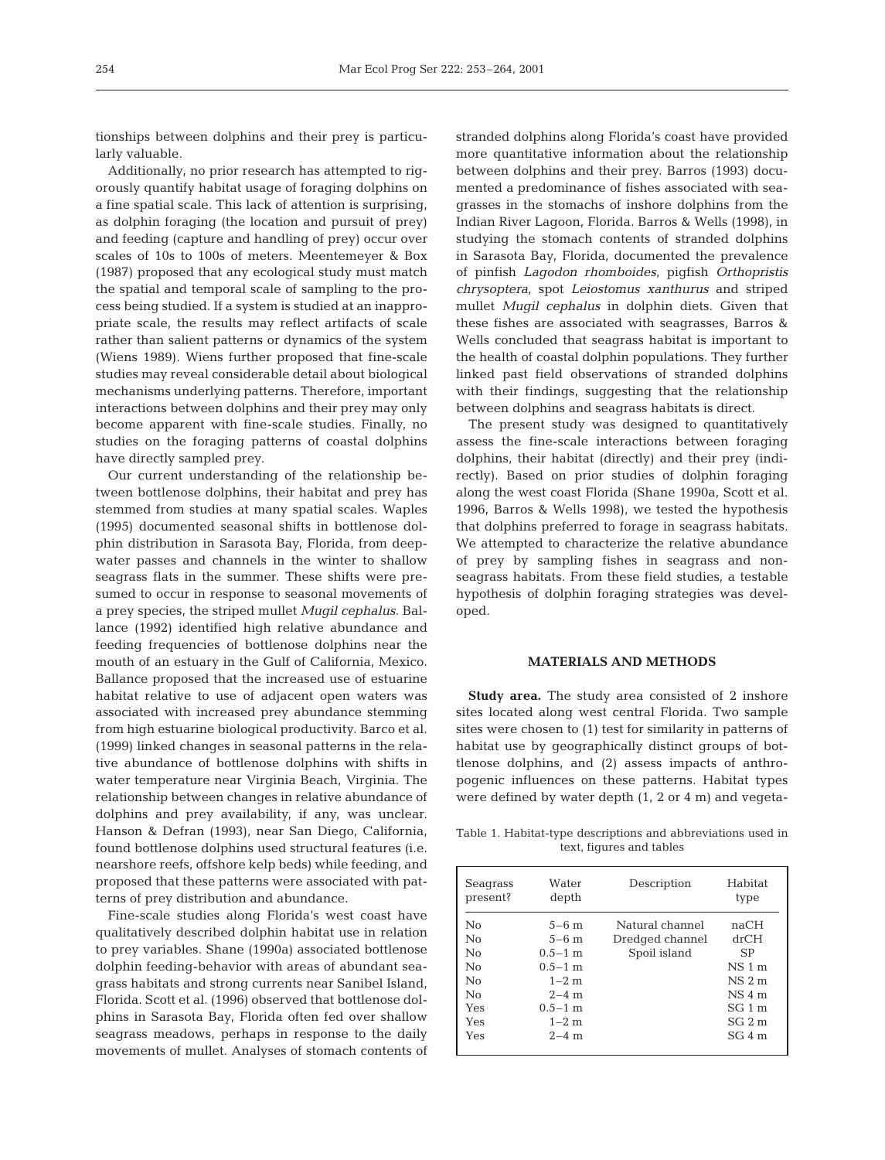tionships between dolphins and their prey is particularly valuable.

Additionally, no prior research has attempted to rigorously quantify habitat usage of foraging dolphins on a fine spatial scale. This lack of attention is surprising, as dolphin foraging (the location and pursuit of prey) and feeding (capture and handling of prey) occur over scales of 10s to 100s of meters. Meentemeyer & Box (1987) proposed that any ecological study must match the spatial and temporal scale of sampling to the process being studied. If a system is studied at an inappropriate scale, the results may reflect artifacts of scale rather than salient patterns or dynamics of the system (Wiens 1989). Wiens further proposed that fine-scale studies may reveal considerable detail about biological mechanisms underlying patterns. Therefore, important interactions between dolphins and their prey may only become apparent with fine-scale studies. Finally, no studies on the foraging patterns of coastal dolphins have directly sampled prey.

Our current understanding of the relationship between bottlenose dolphins, their habitat and prey has stemmed from studies at many spatial scales. Waples (1995) documented seasonal shifts in bottlenose dolphin distribution in Sarasota Bay, Florida, from deepwater passes and channels in the winter to shallow seagrass flats in the summer. These shifts were presumed to occur in response to seasonal movements of a prey species, the striped mullet *Mugil cephalus*. Ballance (1992) identified high relative abundance and feeding frequencies of bottlenose dolphins near the mouth of an estuary in the Gulf of California, Mexico. Ballance proposed that the increased use of estuarine habitat relative to use of adjacent open waters was associated with increased prey abundance stemming from high estuarine biological productivity. Barco et al. (1999) linked changes in seasonal patterns in the relative abundance of bottlenose dolphins with shifts in water temperature near Virginia Beach, Virginia. The relationship between changes in relative abundance of dolphins and prey availability, if any, was unclear. Hanson & Defran (1993), near San Diego, California, found bottlenose dolphins used structural features (i.e. nearshore reefs, offshore kelp beds) while feeding, and proposed that these patterns were associated with patterns of prey distribution and abundance.

Fine-scale studies along Florida's west coast have qualitatively described dolphin habitat use in relation to prey variables. Shane (1990a) associated bottlenose dolphin feeding-behavior with areas of abundant seagrass habitats and strong currents near Sanibel Island, Florida. Scott et al. (1996) observed that bottlenose dolphins in Sarasota Bay, Florida often fed over shallow seagrass meadows, perhaps in response to the daily movements of mullet. Analyses of stomach contents of

stranded dolphins along Florida's coast have provided more quantitative information about the relationship between dolphins and their prey. Barros (1993) documented a predominance of fishes associated with seagrasses in the stomachs of inshore dolphins from the Indian River Lagoon, Florida. Barros & Wells (1998), in studying the stomach contents of stranded dolphins in Sarasota Bay, Florida, documented the prevalence of pinfish *Lagodon rhomboides*, pigfish *Orthopristis chrysoptera*, spot *Leiostomus xanthurus* and striped mullet *Mugil cephalus* in dolphin diets. Given that these fishes are associated with seagrasses, Barros & Wells concluded that seagrass habitat is important to the health of coastal dolphin populations. They further linked past field observations of stranded dolphins with their findings, suggesting that the relationship between dolphins and seagrass habitats is direct.

The present study was designed to quantitatively assess the fine-scale interactions between foraging dolphins, their habitat (directly) and their prey (indirectly). Based on prior studies of dolphin foraging along the west coast Florida (Shane 1990a, Scott et al. 1996, Barros & Wells 1998), we tested the hypothesis that dolphins preferred to forage in seagrass habitats. We attempted to characterize the relative abundance of prey by sampling fishes in seagrass and nonseagrass habitats. From these field studies, a testable hypothesis of dolphin foraging strategies was developed.

## **MATERIALS AND METHODS**

**Study area.** The study area consisted of 2 inshore sites located along west central Florida. Two sample sites were chosen to (1) test for similarity in patterns of habitat use by geographically distinct groups of bottlenose dolphins, and (2) assess impacts of anthropogenic influences on these patterns. Habitat types were defined by water depth (1, 2 or 4 m) and vegeta-

Table 1. Habitat-type descriptions and abbreviations used in text, figures and tables

| Seagrass<br>present? | Water<br>depth | Description     | Habitat<br>type |
|----------------------|----------------|-----------------|-----------------|
| No                   | $5 - 6$ m      | Natural channel | naCH            |
| No                   | $5 - 6$ m      | Dredged channel | drCH            |
| No                   | $0.5 - 1$ m    | Spoil island    | SP              |
| No                   | $0.5 - 1$ m    |                 | $NS1$ m         |
| No                   | $1 - 2$ m      |                 | $NS2$ m         |
| No                   | $2 - 4$ m      |                 | $NS4$ m         |
| <b>Yes</b>           | $0.5 - 1$ m    |                 | $SG1$ m         |
| Yes                  | $1 - 2$ m      |                 | $SG2$ m         |
| Yes                  | $2 - 4$ m      |                 | SG4 m           |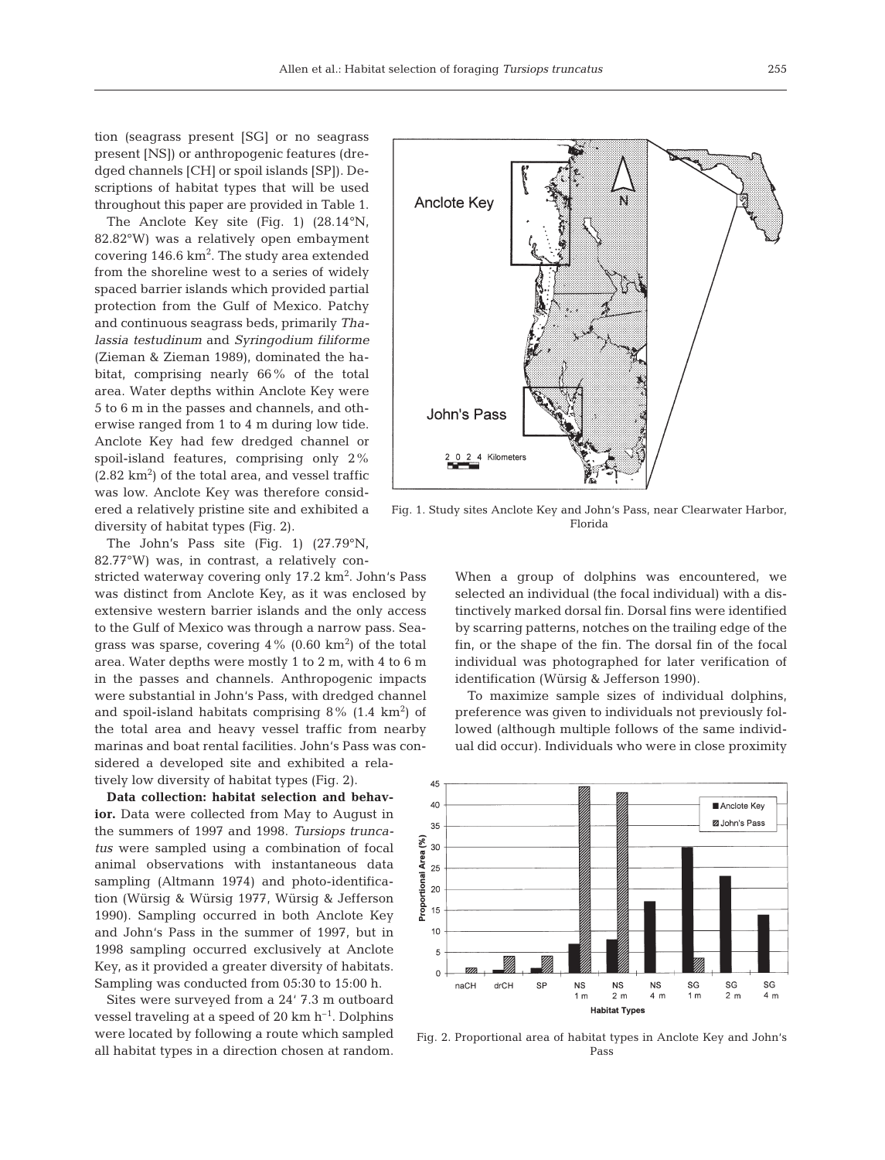tion (seagrass present [SG] or no seagrass present [NS]) or anthropogenic features (dredged channels [CH] or spoil islands [SP]). Descriptions of habitat types that will be used throughout this paper are provided in Table 1.

The Anclote Key site (Fig. 1) (28.14°N, 82.82°W) was a relatively open embayment covering  $146.6 \text{ km}^2$ . The study area extended from the shoreline west to a series of widely spaced barrier islands which provided partial protection from the Gulf of Mexico. Patchy and continuous seagrass beds, primarily *Thalassia testudinum* and *Syringodium filiforme* (Zieman & Zieman 1989), dominated the habitat, comprising nearly 66% of the total area. Water depths within Anclote Key were 5 to 6 m in the passes and channels, and otherwise ranged from 1 to 4 m during low tide. Anclote Key had few dredged channel or spoil-island features, comprising only 2%  $(2.82 \text{ km}^2)$  of the total area, and vessel traffic was low. Anclote Key was therefore considered a relatively pristine site and exhibited a diversity of habitat types (Fig. 2).

The John's Pass site (Fig. 1) (27.79°N, 82.77°W) was, in contrast, a relatively con-

stricted waterway covering only 17.2 km<sup>2</sup>. John's Pass was distinct from Anclote Key, as it was enclosed by extensive western barrier islands and the only access to the Gulf of Mexico was through a narrow pass. Seagrass was sparse, covering  $4\%$  (0.60 km<sup>2</sup>) of the total area. Water depths were mostly 1 to 2 m, with 4 to 6 m in the passes and channels. Anthropogenic impacts were substantial in John's Pass, with dredged channel and spoil-island habitats comprising  $8\%$  (1.4 km<sup>2</sup>) of the total area and heavy vessel traffic from nearby marinas and boat rental facilities. John's Pass was considered a developed site and exhibited a relatively low diversity of habitat types (Fig. 2).

**Data collection: habitat selection and behavior.** Data were collected from May to August in the summers of 1997 and 1998. *Tursiops truncatus* were sampled using a combination of focal animal observations with instantaneous data sampling (Altmann 1974) and photo-identification (Würsig & Würsig 1977, Würsig & Jefferson 1990). Sampling occurred in both Anclote Key and John's Pass in the summer of 1997, but in 1998 sampling occurred exclusively at Anclote Key, as it provided a greater diversity of habitats. Sampling was conducted from 05:30 to 15:00 h.

Sites were surveyed from a 24' 7.3 m outboard vessel traveling at a speed of 20  $km h^{-1}$ . Dolphins were located by following a route which sampled all habitat types in a direction chosen at random.



Fig. 1. Study sites Anclote Key and John's Pass, near Clearwater Harbor, Florida

When a group of dolphins was encountered, we selected an individual (the focal individual) with a distinctively marked dorsal fin. Dorsal fins were identified by scarring patterns, notches on the trailing edge of the fin, or the shape of the fin. The dorsal fin of the focal individual was photographed for later verification of identification (Würsig & Jefferson 1990).

To maximize sample sizes of individual dolphins, preference was given to individuals not previously followed (although multiple follows of the same individual did occur). Individuals who were in close proximity



Fig. 2. Proportional area of habitat types in Anclote Key and John's Pass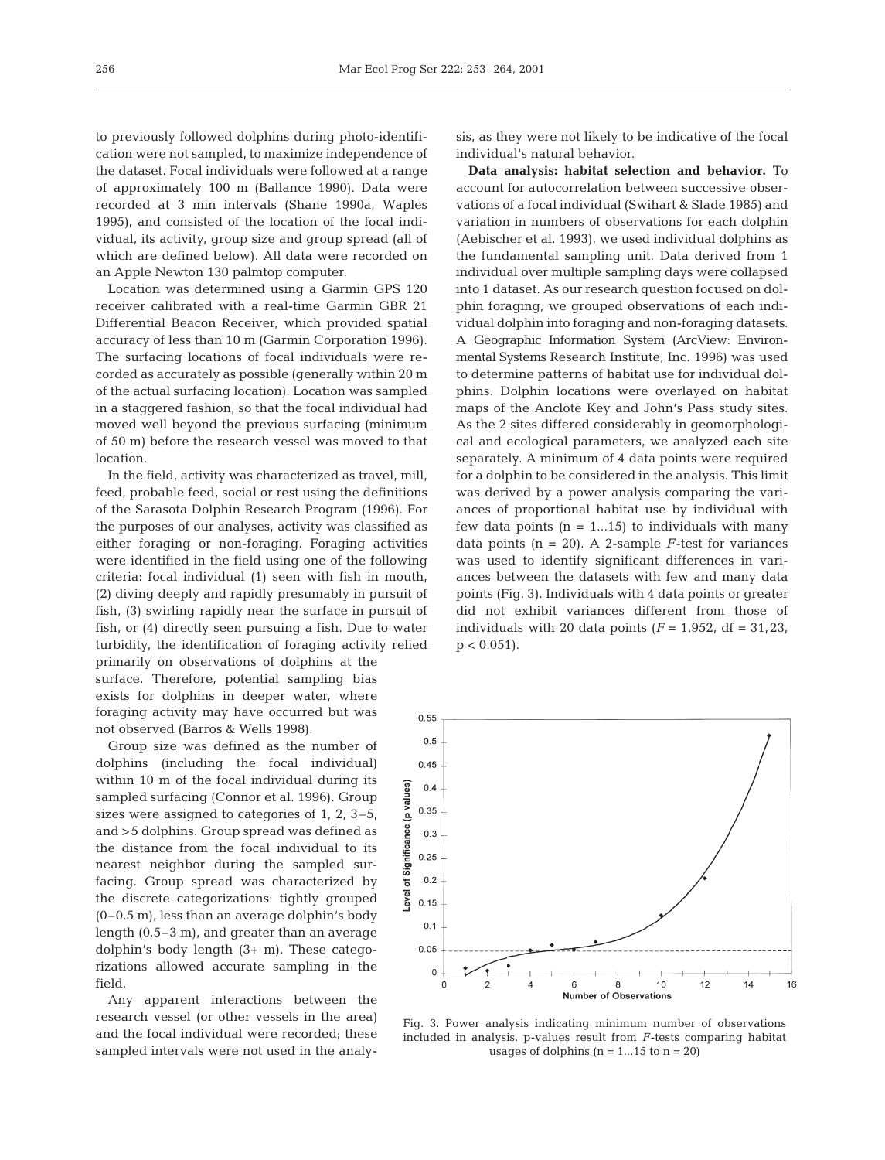to previously followed dolphins during photo-identification were not sampled, to maximize independence of the dataset. Focal individuals were followed at a range of approximately 100 m (Ballance 1990). Data were recorded at 3 min intervals (Shane 1990a, Waples 1995), and consisted of the location of the focal individual, its activity, group size and group spread (all of which are defined below). All data were recorded on an Apple Newton 130 palmtop computer.

Location was determined using a Garmin GPS 120 receiver calibrated with a real-time Garmin GBR 21 Differential Beacon Receiver, which provided spatial accuracy of less than 10 m (Garmin Corporation 1996). The surfacing locations of focal individuals were recorded as accurately as possible (generally within 20 m of the actual surfacing location). Location was sampled in a staggered fashion, so that the focal individual had moved well beyond the previous surfacing (minimum of 50 m) before the research vessel was moved to that location.

In the field, activity was characterized as travel, mill, feed, probable feed, social or rest using the definitions of the Sarasota Dolphin Research Program (1996). For the purposes of our analyses, activity was classified as either foraging or non-foraging. Foraging activities were identified in the field using one of the following criteria: focal individual (1) seen with fish in mouth, (2) diving deeply and rapidly presumably in pursuit of fish, (3) swirling rapidly near the surface in pursuit of fish, or (4) directly seen pursuing a fish. Due to water turbidity, the identification of foraging activity relied

primarily on observations of dolphins at the surface. Therefore, potential sampling bias exists for dolphins in deeper water, where foraging activity may have occurred but was not observed (Barros & Wells 1998).

Group size was defined as the number of dolphins (including the focal individual) within 10 m of the focal individual during its sampled surfacing (Connor et al. 1996). Group sizes were assigned to categories of 1, 2, 3–5, and >5 dolphins. Group spread was defined as the distance from the focal individual to its nearest neighbor during the sampled surfacing. Group spread was characterized by the discrete categorizations: tightly grouped (0–0.5 m), less than an average dolphin's body length (0.5–3 m), and greater than an average dolphin's body length (3+ m). These categorizations allowed accurate sampling in the field.

Any apparent interactions between the research vessel (or other vessels in the area) and the focal individual were recorded; these sampled intervals were not used in the analy-

sis, as they were not likely to be indicative of the focal individual's natural behavior.

**Data analysis: habitat selection and behavior.** To account for autocorrelation between successive observations of a focal individual (Swihart & Slade 1985) and variation in numbers of observations for each dolphin (Aebischer et al. 1993), we used individual dolphins as the fundamental sampling unit. Data derived from 1 individual over multiple sampling days were collapsed into 1 dataset. As our research question focused on dolphin foraging, we grouped observations of each individual dolphin into foraging and non-foraging datasets. A Geographic Information System (ArcView: Environmental Systems Research Institute, Inc. 1996) was used to determine patterns of habitat use for individual dolphins. Dolphin locations were overlayed on habitat maps of the Anclote Key and John's Pass study sites. As the 2 sites differed considerably in geomorphological and ecological parameters, we analyzed each site separately. A minimum of 4 data points were required for a dolphin to be considered in the analysis. This limit was derived by a power analysis comparing the variances of proportional habitat use by individual with few data points  $(n = 1...15)$  to individuals with many data points  $(n = 20)$ . A 2-sample *F*-test for variances was used to identify significant differences in variances between the datasets with few and many data points (Fig. 3). Individuals with 4 data points or greater did not exhibit variances different from those of individuals with 20 data points  $(F = 1.952, df = 31.23,$  $p < 0.051$ ).



Fig. 3. Power analysis indicating minimum number of observations included in analysis. p-values result from *F*-tests comparing habitat usages of dolphins  $(n = 1...15$  to  $n = 20)$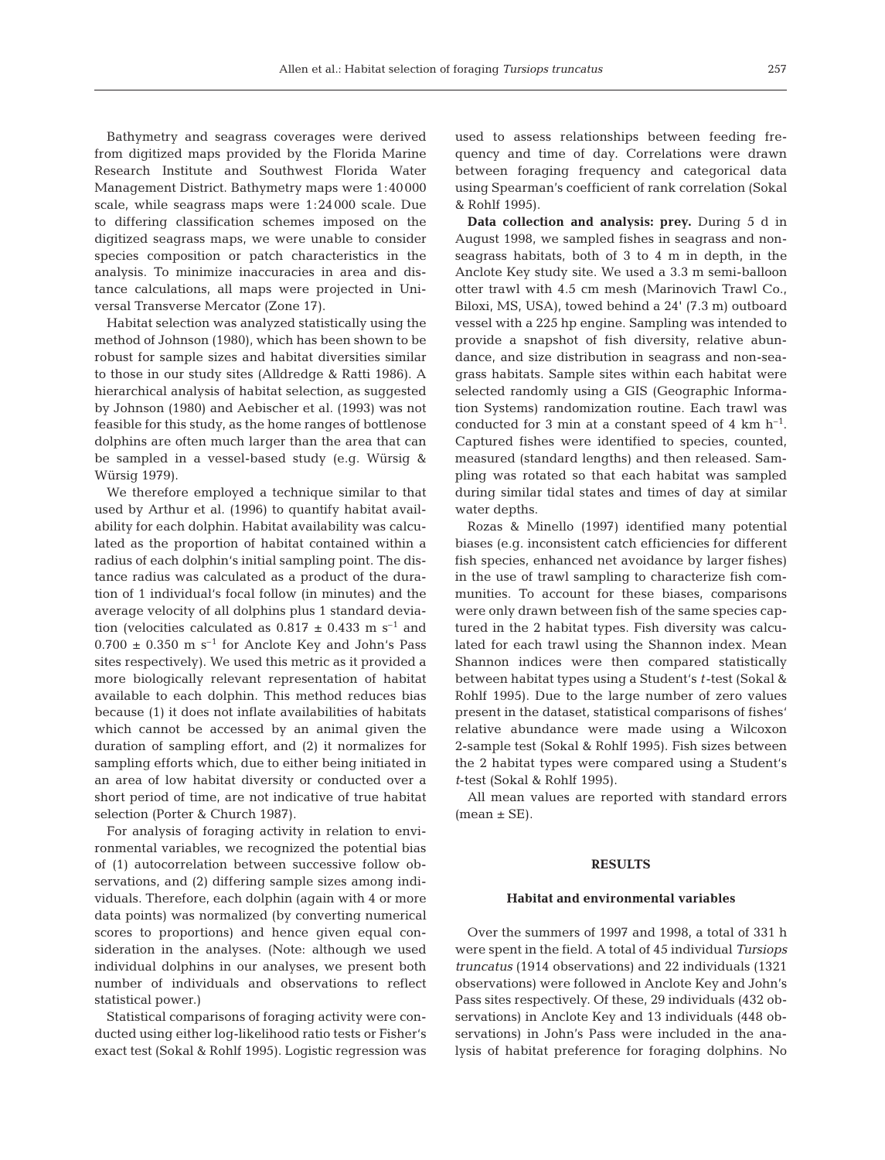Bathymetry and seagrass coverages were derived from digitized maps provided by the Florida Marine Research Institute and Southwest Florida Water Management District. Bathymetry maps were 1:40000 scale, while seagrass maps were 1:24000 scale. Due to differing classification schemes imposed on the digitized seagrass maps, we were unable to consider species composition or patch characteristics in the analysis. To minimize inaccuracies in area and distance calculations, all maps were projected in Universal Transverse Mercator (Zone 17).

Habitat selection was analyzed statistically using the method of Johnson (1980), which has been shown to be robust for sample sizes and habitat diversities similar to those in our study sites (Alldredge & Ratti 1986). A hierarchical analysis of habitat selection, as suggested by Johnson (1980) and Aebischer et al. (1993) was not feasible for this study, as the home ranges of bottlenose dolphins are often much larger than the area that can be sampled in a vessel-based study (e.g. Würsig & Würsig 1979).

We therefore employed a technique similar to that used by Arthur et al. (1996) to quantify habitat availability for each dolphin. Habitat availability was calculated as the proportion of habitat contained within a radius of each dolphin's initial sampling point. The distance radius was calculated as a product of the duration of 1 individual's focal follow (in minutes) and the average velocity of all dolphins plus 1 standard deviation (velocities calculated as  $0.817 \pm 0.433$  m s<sup>-1</sup> and  $0.700 \pm 0.350$  m s<sup>-1</sup> for Anclote Key and John's Pass sites respectively). We used this metric as it provided a more biologically relevant representation of habitat available to each dolphin. This method reduces bias because (1) it does not inflate availabilities of habitats which cannot be accessed by an animal given the duration of sampling effort, and (2) it normalizes for sampling efforts which, due to either being initiated in an area of low habitat diversity or conducted over a short period of time, are not indicative of true habitat selection (Porter & Church 1987).

For analysis of foraging activity in relation to environmental variables, we recognized the potential bias of (1) autocorrelation between successive follow observations, and (2) differing sample sizes among individuals. Therefore, each dolphin (again with 4 or more data points) was normalized (by converting numerical scores to proportions) and hence given equal consideration in the analyses. (Note: although we used individual dolphins in our analyses, we present both number of individuals and observations to reflect statistical power.)

Statistical comparisons of foraging activity were conducted using either log-likelihood ratio tests or Fisher's exact test (Sokal & Rohlf 1995). Logistic regression was

used to assess relationships between feeding frequency and time of day. Correlations were drawn between foraging frequency and categorical data using Spearman's coefficient of rank correlation (Sokal & Rohlf 1995).

**Data collection and analysis: prey.** During 5 d in August 1998, we sampled fishes in seagrass and nonseagrass habitats, both of 3 to 4 m in depth, in the Anclote Key study site. We used a 3.3 m semi-balloon otter trawl with 4.5 cm mesh (Marinovich Trawl Co., Biloxi, MS, USA), towed behind a 24' (7.3 m) outboard vessel with a 225 hp engine. Sampling was intended to provide a snapshot of fish diversity, relative abundance, and size distribution in seagrass and non-seagrass habitats. Sample sites within each habitat were selected randomly using a GIS (Geographic Information Systems) randomization routine. Each trawl was conducted for 3 min at a constant speed of 4 km  $h^{-1}$ . Captured fishes were identified to species, counted, measured (standard lengths) and then released. Sampling was rotated so that each habitat was sampled during similar tidal states and times of day at similar water depths.

Rozas & Minello (1997) identified many potential biases (e.g. inconsistent catch efficiencies for different fish species, enhanced net avoidance by larger fishes) in the use of trawl sampling to characterize fish communities. To account for these biases, comparisons were only drawn between fish of the same species captured in the 2 habitat types. Fish diversity was calculated for each trawl using the Shannon index. Mean Shannon indices were then compared statistically between habitat types using a Student's *t*-test (Sokal & Rohlf 1995). Due to the large number of zero values present in the dataset, statistical comparisons of fishes' relative abundance were made using a Wilcoxon 2-sample test (Sokal & Rohlf 1995). Fish sizes between the 2 habitat types were compared using a Student's *t*-test (Sokal & Rohlf 1995).

All mean values are reported with standard errors  $(mean \pm SE)$ .

## **RESULTS**

#### **Habitat and environmental variables**

Over the summers of 1997 and 1998, a total of 331 h were spent in the field. A total of 45 individual *Tursiops truncatus* (1914 observations) and 22 individuals (1321 observations) were followed in Anclote Key and John's Pass sites respectively. Of these, 29 individuals (432 observations) in Anclote Key and 13 individuals (448 observations) in John's Pass were included in the analysis of habitat preference for foraging dolphins. No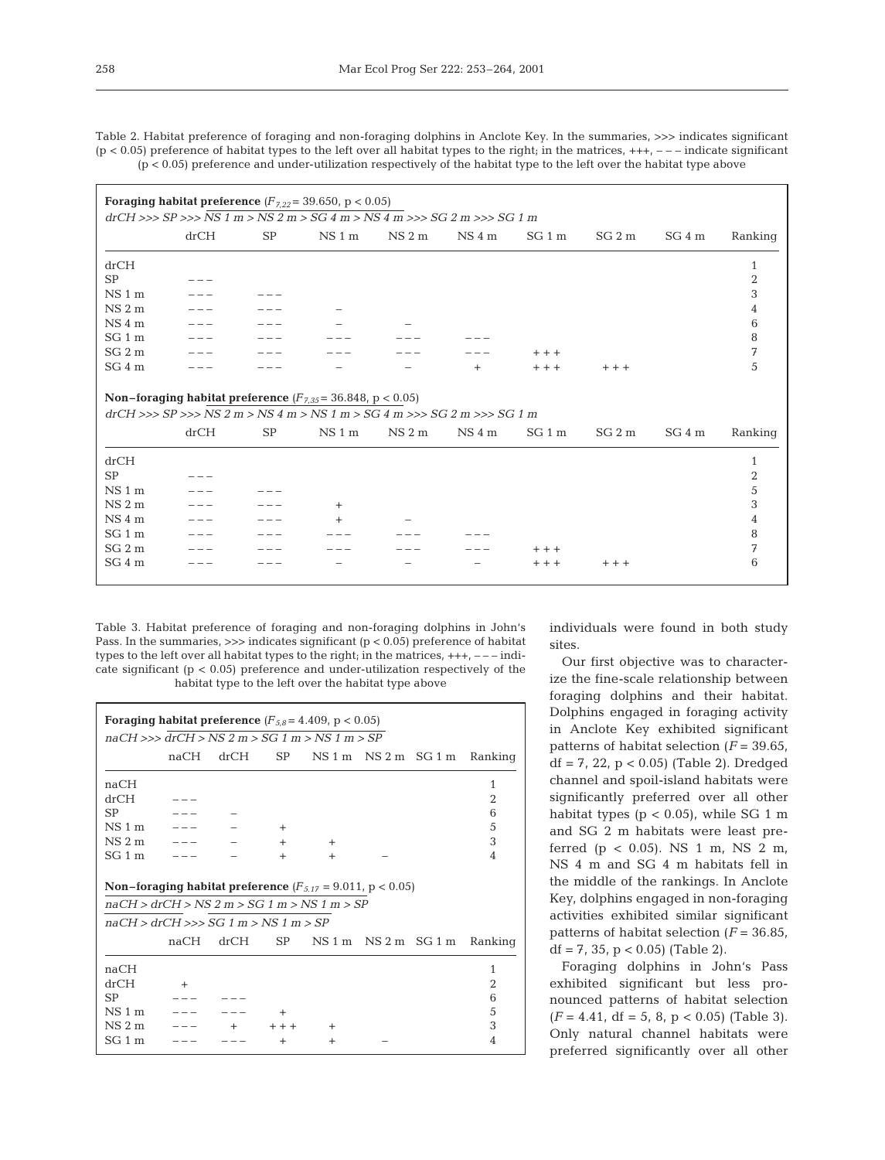Table 2. Habitat preference of foraging and non-foraging dolphins in Anclote Key. In the summaries, >>> indicates significant  $(p < 0.05)$  preference of habitat types to the left over all habitat types to the right; in the matrices,  $++-$  – – indicate significant  $(p < 0.05)$  preference and under-utilization respectively of the habitat type to the left over the habitat type above

| <b>SP</b>                                                                                                                                           | $drCH \ggg SP \ggg NS 1 m > NS 2 m > SG 4 m > NS 4 m >> SG 2 m >> SG 1 m$ |        |        |                   |         |        |         |  |
|-----------------------------------------------------------------------------------------------------------------------------------------------------|---------------------------------------------------------------------------|--------|--------|-------------------|---------|--------|---------|--|
|                                                                                                                                                     |                                                                           |        |        |                   |         |        |         |  |
|                                                                                                                                                     | NS 1 m                                                                    | NS 2 m | NS 4 m | SG 1 m            | $SG2$ m | SG 4 m | Ranking |  |
|                                                                                                                                                     |                                                                           |        |        |                   |         |        | 1       |  |
|                                                                                                                                                     |                                                                           |        |        |                   |         |        | 2       |  |
|                                                                                                                                                     |                                                                           |        |        |                   |         |        | 3       |  |
|                                                                                                                                                     |                                                                           |        |        |                   |         |        | 4       |  |
|                                                                                                                                                     |                                                                           |        |        |                   |         |        | 6       |  |
|                                                                                                                                                     |                                                                           |        |        |                   |         |        | 8       |  |
|                                                                                                                                                     |                                                                           |        |        | $+ + +$           |         |        | 7       |  |
|                                                                                                                                                     |                                                                           |        | $^{+}$ | $+ + +$           | $+ + +$ |        | 5       |  |
| <b>Non-foraging habitat preference</b> $(F_{7,35} = 36.848, p < 0.05)$<br>$drCH \ggg SP \ggg NS 2 m > NS 4 m > NS 1 m > SG 4 m >> SG 2 m >> SG 1 m$ |                                                                           |        |        |                   |         |        |         |  |
| <b>SP</b>                                                                                                                                           | NS1m                                                                      | NS 2 m | NS 4 m | SG <sub>1</sub> m | $SG2$ m | SG 4 m | Ranking |  |
|                                                                                                                                                     |                                                                           |        |        |                   |         |        | 1       |  |
|                                                                                                                                                     |                                                                           |        |        |                   |         |        | 2       |  |
|                                                                                                                                                     |                                                                           |        |        |                   |         |        | 5       |  |
|                                                                                                                                                     | $^{+}$                                                                    |        |        |                   |         |        | 3       |  |
|                                                                                                                                                     |                                                                           |        |        |                   |         |        | 4       |  |
|                                                                                                                                                     |                                                                           |        |        |                   |         |        | 8       |  |
|                                                                                                                                                     |                                                                           |        |        | $+ + +$           |         |        | 7       |  |
|                                                                                                                                                     |                                                                           |        |        | $+ + +$           | $++$    |        | 6       |  |
|                                                                                                                                                     |                                                                           |        |        |                   |         |        |         |  |

Table 3. Habitat preference of foraging and non-foraging dolphins in John's Pass. In the summaries,  $\gg$  indicates significant ( $p < 0.05$ ) preference of habitat types to the left over all habitat types to the right; in the matrices,  $+++$ ,  $---$  indicate significant  $(p < 0.05)$  preference and under-utilization respectively of the habitat type to the left over the habitat type above

| Foraging habitat preference $(F_{5,8} = 4.409, p < 0.05)$ |                                                                       |      |        |                                 |  |                      |                |  |  |
|-----------------------------------------------------------|-----------------------------------------------------------------------|------|--------|---------------------------------|--|----------------------|----------------|--|--|
| $naCH \ggg drCH > NS 2 m > SG 1 m > NS 1 m > SP$          |                                                                       |      |        |                                 |  |                      |                |  |  |
|                                                           | naCH                                                                  | drCH | SP     |                                 |  | $NS1m$ $NS2m$ $SG1m$ | Ranking        |  |  |
| naCH                                                      |                                                                       |      |        |                                 |  |                      | 1              |  |  |
| drCH                                                      |                                                                       |      |        |                                 |  |                      | $\overline{2}$ |  |  |
| SP                                                        |                                                                       |      |        |                                 |  |                      | 6              |  |  |
| $NS1$ m                                                   |                                                                       |      | $^{+}$ |                                 |  |                      | 5              |  |  |
| $NS2$ m                                                   |                                                                       |      | $^{+}$ | $^{+}$                          |  |                      | 3              |  |  |
| $SG1$ m                                                   |                                                                       |      | $^{+}$ | $^{+}$                          |  |                      | 4              |  |  |
|                                                           |                                                                       |      |        |                                 |  |                      |                |  |  |
|                                                           | <b>Non-foraging habitat preference</b> $(F_{5.17} = 9.011, p < 0.05)$ |      |        |                                 |  |                      |                |  |  |
| $naCH > drCH > NS 2 m > SG 1 m > NS 1 m > SP$             |                                                                       |      |        |                                 |  |                      |                |  |  |
| $naCH > drCH \gg > SG$ 1 m $>$ NS 1 m $>$ SP              |                                                                       |      |        |                                 |  |                      |                |  |  |
|                                                           | naCH                                                                  | drCH |        | $SP$ $NS 1 m$ $NS 2 m$ $SG 1 m$ |  |                      | Ranking        |  |  |
| naCH                                                      |                                                                       |      |        |                                 |  |                      | 1              |  |  |
| drCH                                                      | $+$                                                                   |      |        |                                 |  |                      | $\overline{2}$ |  |  |
| <b>SP</b>                                                 |                                                                       |      |        |                                 |  |                      | 6              |  |  |
| $NS1$ m                                                   |                                                                       |      | $\pm$  |                                 |  |                      | 5              |  |  |
| $NS2$ m                                                   |                                                                       |      |        | $\pm$                           |  |                      | 3              |  |  |
| $SG1$ m                                                   |                                                                       |      | $\pm$  | $\ddot{}$                       |  |                      | 4              |  |  |

individuals were found in both study sites.

Our first objective was to characterize the fine-scale relationship between foraging dolphins and their habitat. Dolphins engaged in foraging activity in Anclote Key exhibited significant patterns of habitat selection  $(F = 39.65)$ , df =  $7, 22, p < 0.05$  (Table 2). Dredged channel and spoil-island habitats were significantly preferred over all other habitat types ( $p < 0.05$ ), while SG 1 m and SG 2 m habitats were least preferred ( $p < 0.05$ ). NS 1 m, NS 2 m, NS 4 m and SG 4 m habitats fell in the middle of the rankings. In Anclote Key, dolphins engaged in non-foraging activities exhibited similar significant patterns of habitat selection (*F* = 36.85,  $df = 7$ , 35,  $p < 0.05$ ) (Table 2).

Foraging dolphins in John's Pass exhibited significant but less pronounced patterns of habitat selection  $(F = 4.41, df = 5, 8, p < 0.05)$  (Table 3). Only natural channel habitats were preferred significantly over all other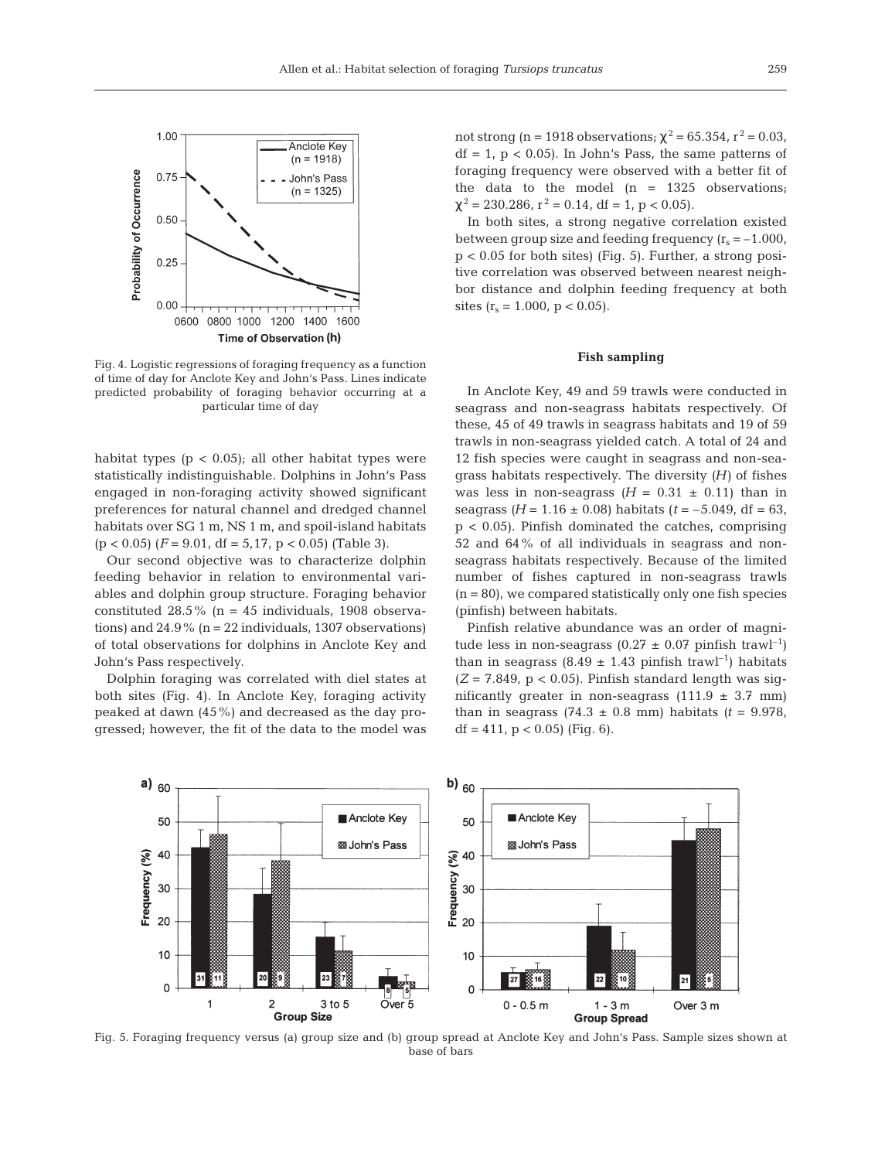

Fig. 4. Logistic regressions of foraging frequency as a function of time of day for Anclote Key and John's Pass. Lines indicate predicted probability of foraging behavior occurring at a particular time of day

habitat types ( $p < 0.05$ ); all other habitat types were statistically indistinguishable. Dolphins in John's Pass engaged in non-foraging activity showed significant preferences for natural channel and dredged channel habitats over SG 1 m, NS 1 m, and spoil-island habitats  $(p < 0.05)$   $(F = 9.01$ ,  $df = 5.17$ ,  $p < 0.05$ ) (Table 3).

Our second objective was to characterize dolphin feeding behavior in relation to environmental variables and dolphin group structure. Foraging behavior constituted  $28.5\%$  (n = 45 individuals, 1908 observations) and  $24.9\%$  (n = 22 individuals, 1307 observations) of total observations for dolphins in Anclote Key and John's Pass respectively.

Dolphin foraging was correlated with diel states at both sites (Fig. 4). In Anclote Key, foraging activity peaked at dawn (45%) and decreased as the day progressed; however, the fit of the data to the model was

not strong (n = 1918 observations;  $\chi^2$  = 65.354, r<sup>2</sup> = 0.03,  $df = 1$ ,  $p < 0.05$ ). In John's Pass, the same patterns of foraging frequency were observed with a better fit of the data to the model (n = 1325 observations;  $\chi^2$  = 230.286, r<sup>2</sup> = 0.14, df = 1, p < 0.05).

In both sites, a strong negative correlation existed between group size and feeding frequency  $(r_s = -1.000)$ , p < 0.05 for both sites) (Fig. 5). Further, a strong positive correlation was observed between nearest neighbor distance and dolphin feeding frequency at both sites  $(r_s = 1.000, p < 0.05)$ .

## **Fish sampling**

In Anclote Key, 49 and 59 trawls were conducted in seagrass and non-seagrass habitats respectively. Of these, 45 of 49 trawls in seagrass habitats and 19 of 59 trawls in non-seagrass yielded catch. A total of 24 and 12 fish species were caught in seagrass and non-seagrass habitats respectively. The diversity *(H)* of fishes was less in non-seagrass  $(H = 0.31 \pm 0.11)$  than in seagrass  $(H = 1.16 \pm 0.08)$  habitats  $(t = -5.049, df = 63,$  $p < 0.05$ ). Pinfish dominated the catches, comprising 52 and 64% of all individuals in seagrass and nonseagrass habitats respectively. Because of the limited number of fishes captured in non-seagrass trawls  $(n = 80)$ , we compared statistically only one fish species (pinfish) between habitats.

Pinfish relative abundance was an order of magnitude less in non-seagrass  $(0.27 \pm 0.07)$  pinfish trawl<sup>-1</sup>) than in seagrass (8.49  $\pm$  1.43 pinfish trawl<sup>-1</sup>) habitats  $(Z = 7.849, p < 0.05)$ . Pinfish standard length was significantly greater in non-seagrass  $(111.9 \pm 3.7 \text{ mm})$ than in seagrass  $(74.3 \pm 0.8 \text{ mm})$  habitats  $(t = 9.978,$ df = 411,  $p < 0.05$ ) (Fig. 6).



Fig. 5. Foraging frequency versus (a) group size and (b) group spread at Anclote Key and John's Pass. Sample sizes shown at base of bars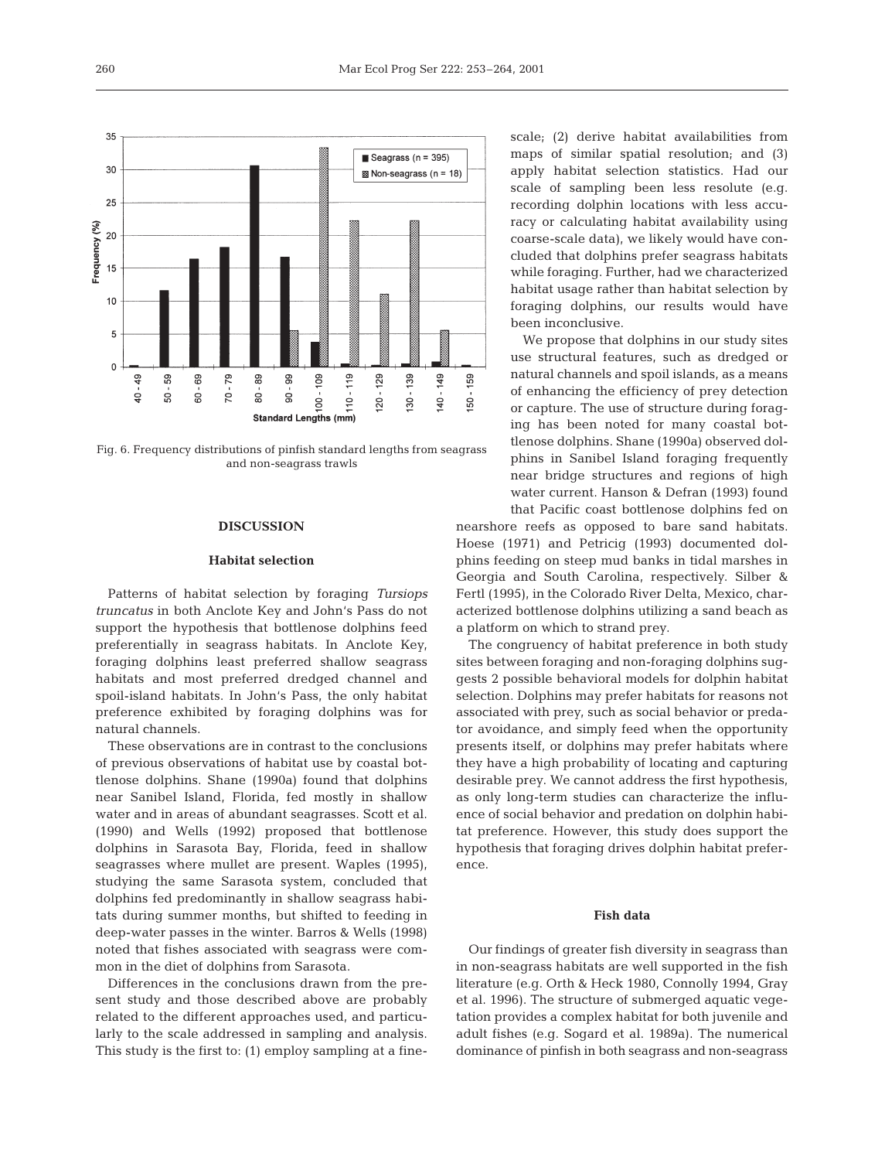

Fig. 6. Frequency distributions of pinfish standard lengths from seagrass and non-seagrass trawls

## **DISCUSSION**

## **Habitat selection**

Patterns of habitat selection by foraging *Tursiops truncatus* in both Anclote Key and John's Pass do not support the hypothesis that bottlenose dolphins feed preferentially in seagrass habitats. In Anclote Key, foraging dolphins least preferred shallow seagrass habitats and most preferred dredged channel and spoil-island habitats. In John's Pass, the only habitat preference exhibited by foraging dolphins was for natural channels.

These observations are in contrast to the conclusions of previous observations of habitat use by coastal bottlenose dolphins. Shane (1990a) found that dolphins near Sanibel Island, Florida, fed mostly in shallow water and in areas of abundant seagrasses. Scott et al. (1990) and Wells (1992) proposed that bottlenose dolphins in Sarasota Bay, Florida, feed in shallow seagrasses where mullet are present. Waples (1995), studying the same Sarasota system, concluded that dolphins fed predominantly in shallow seagrass habitats during summer months, but shifted to feeding in deep-water passes in the winter. Barros & Wells (1998) noted that fishes associated with seagrass were common in the diet of dolphins from Sarasota.

Differences in the conclusions drawn from the present study and those described above are probably related to the different approaches used, and particularly to the scale addressed in sampling and analysis. This study is the first to: (1) employ sampling at a finescale; (2) derive habitat availabilities from maps of similar spatial resolution; and (3) apply habitat selection statistics. Had our scale of sampling been less resolute (e.g. recording dolphin locations with less accuracy or calculating habitat availability using coarse-scale data), we likely would have concluded that dolphins prefer seagrass habitats while foraging. Further, had we characterized habitat usage rather than habitat selection by foraging dolphins, our results would have been inconclusive.

We propose that dolphins in our study sites use structural features, such as dredged or natural channels and spoil islands, as a means of enhancing the efficiency of prey detection or capture. The use of structure during foraging has been noted for many coastal bottlenose dolphins. Shane (1990a) observed dolphins in Sanibel Island foraging frequently near bridge structures and regions of high water current. Hanson & Defran (1993) found that Pacific coast bottlenose dolphins fed on

nearshore reefs as opposed to bare sand habitats. Hoese (1971) and Petricig (1993) documented dolphins feeding on steep mud banks in tidal marshes in Georgia and South Carolina, respectively. Silber & Fertl (1995), in the Colorado River Delta, Mexico, characterized bottlenose dolphins utilizing a sand beach as a platform on which to strand prey.

The congruency of habitat preference in both study sites between foraging and non-foraging dolphins suggests 2 possible behavioral models for dolphin habitat selection. Dolphins may prefer habitats for reasons not associated with prey, such as social behavior or predator avoidance, and simply feed when the opportunity presents itself, or dolphins may prefer habitats where they have a high probability of locating and capturing desirable prey. We cannot address the first hypothesis, as only long-term studies can characterize the influence of social behavior and predation on dolphin habitat preference. However, this study does support the hypothesis that foraging drives dolphin habitat preference.

### **Fish data**

Our findings of greater fish diversity in seagrass than in non-seagrass habitats are well supported in the fish literature (e.g. Orth & Heck 1980, Connolly 1994, Gray et al. 1996). The structure of submerged aquatic vegetation provides a complex habitat for both juvenile and adult fishes (e.g. Sogard et al. 1989a). The numerical dominance of pinfish in both seagrass and non-seagrass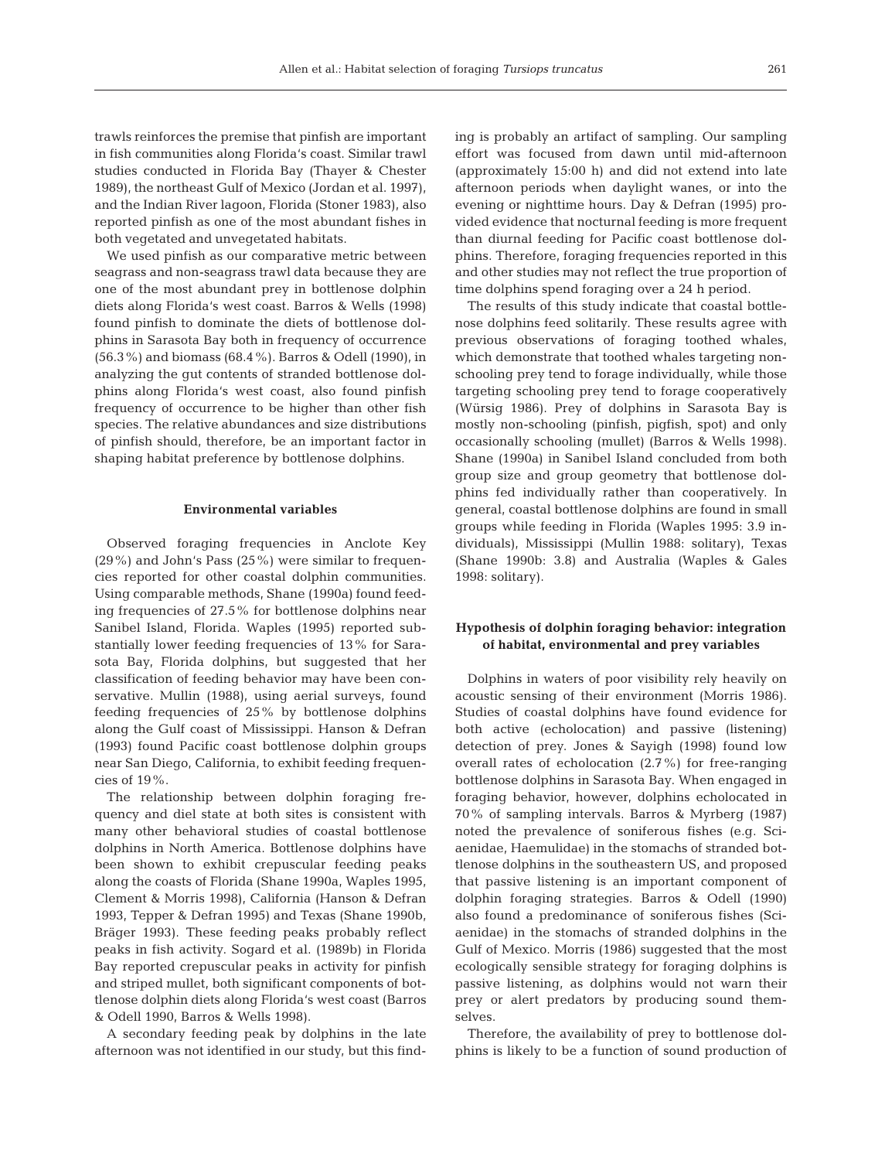trawls reinforces the premise that pinfish are important in fish communities along Florida's coast. Similar trawl studies conducted in Florida Bay (Thayer & Chester 1989), the northeast Gulf of Mexico (Jordan et al. 1997), and the Indian River lagoon, Florida (Stoner 1983), also reported pinfish as one of the most abundant fishes in both vegetated and unvegetated habitats.

We used pinfish as our comparative metric between seagrass and non-seagrass trawl data because they are one of the most abundant prey in bottlenose dolphin diets along Florida's west coast. Barros & Wells (1998) found pinfish to dominate the diets of bottlenose dolphins in Sarasota Bay both in frequency of occurrence (56.3%) and biomass (68.4%). Barros & Odell (1990), in analyzing the gut contents of stranded bottlenose dolphins along Florida's west coast, also found pinfish frequency of occurrence to be higher than other fish species. The relative abundances and size distributions of pinfish should, therefore, be an important factor in shaping habitat preference by bottlenose dolphins.

#### **Environmental variables**

Observed foraging frequencies in Anclote Key (29%) and John's Pass (25%) were similar to frequencies reported for other coastal dolphin communities. Using comparable methods, Shane (1990a) found feeding frequencies of 27.5% for bottlenose dolphins near Sanibel Island, Florida. Waples (1995) reported substantially lower feeding frequencies of 13% for Sarasota Bay, Florida dolphins, but suggested that her classification of feeding behavior may have been conservative. Mullin (1988), using aerial surveys, found feeding frequencies of 25% by bottlenose dolphins along the Gulf coast of Mississippi. Hanson & Defran (1993) found Pacific coast bottlenose dolphin groups near San Diego, California, to exhibit feeding frequencies of 19%.

The relationship between dolphin foraging frequency and diel state at both sites is consistent with many other behavioral studies of coastal bottlenose dolphins in North America. Bottlenose dolphins have been shown to exhibit crepuscular feeding peaks along the coasts of Florida (Shane 1990a, Waples 1995, Clement & Morris 1998), California (Hanson & Defran 1993, Tepper & Defran 1995) and Texas (Shane 1990b, Bräger 1993). These feeding peaks probably reflect peaks in fish activity. Sogard et al. (1989b) in Florida Bay reported crepuscular peaks in activity for pinfish and striped mullet, both significant components of bottlenose dolphin diets along Florida's west coast (Barros & Odell 1990, Barros & Wells 1998).

A secondary feeding peak by dolphins in the late afternoon was not identified in our study, but this finding is probably an artifact of sampling. Our sampling effort was focused from dawn until mid-afternoon (approximately 15:00 h) and did not extend into late afternoon periods when daylight wanes, or into the evening or nighttime hours. Day & Defran (1995) provided evidence that nocturnal feeding is more frequent than diurnal feeding for Pacific coast bottlenose dolphins. Therefore, foraging frequencies reported in this and other studies may not reflect the true proportion of time dolphins spend foraging over a 24 h period.

The results of this study indicate that coastal bottlenose dolphins feed solitarily. These results agree with previous observations of foraging toothed whales, which demonstrate that toothed whales targeting nonschooling prey tend to forage individually, while those targeting schooling prey tend to forage cooperatively (Würsig 1986). Prey of dolphins in Sarasota Bay is mostly non-schooling (pinfish, pigfish, spot) and only occasionally schooling (mullet) (Barros & Wells 1998). Shane (1990a) in Sanibel Island concluded from both group size and group geometry that bottlenose dolphins fed individually rather than cooperatively. In general, coastal bottlenose dolphins are found in small groups while feeding in Florida (Waples 1995: 3.9 individuals), Mississippi (Mullin 1988: solitary), Texas (Shane 1990b: 3.8) and Australia (Waples & Gales 1998: solitary).

# **Hypothesis of dolphin foraging behavior: integration of habitat, environmental and prey variables**

Dolphins in waters of poor visibility rely heavily on acoustic sensing of their environment (Morris 1986). Studies of coastal dolphins have found evidence for both active (echolocation) and passive (listening) detection of prey. Jones & Sayigh (1998) found low overall rates of echolocation (2.7%) for free-ranging bottlenose dolphins in Sarasota Bay. When engaged in foraging behavior, however, dolphins echolocated in 70% of sampling intervals. Barros & Myrberg (1987) noted the prevalence of soniferous fishes (e.g. Sciaenidae, Haemulidae) in the stomachs of stranded bottlenose dolphins in the southeastern US, and proposed that passive listening is an important component of dolphin foraging strategies. Barros & Odell (1990) also found a predominance of soniferous fishes (Sciaenidae) in the stomachs of stranded dolphins in the Gulf of Mexico. Morris (1986) suggested that the most ecologically sensible strategy for foraging dolphins is passive listening, as dolphins would not warn their prey or alert predators by producing sound themselves.

Therefore, the availability of prey to bottlenose dolphins is likely to be a function of sound production of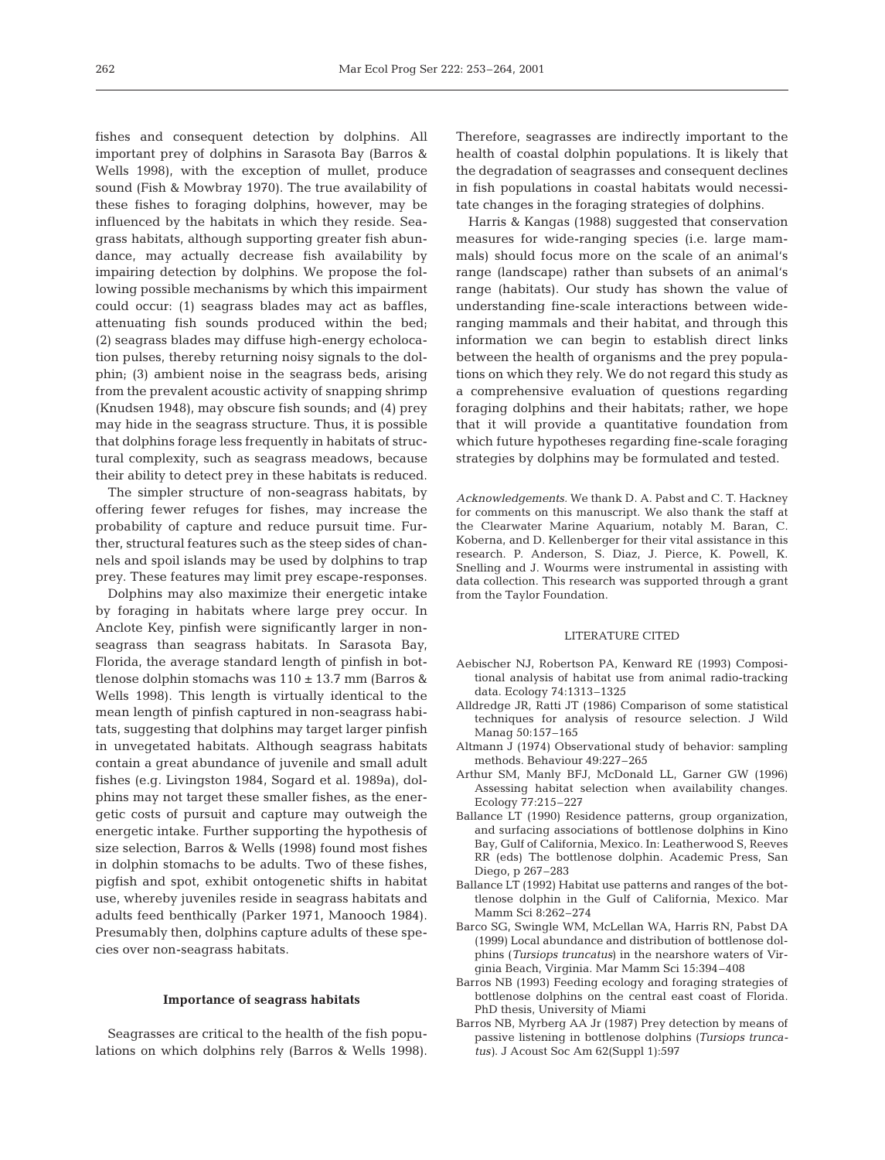fishes and consequent detection by dolphins. All important prey of dolphins in Sarasota Bay (Barros & Wells 1998), with the exception of mullet, produce sound (Fish & Mowbray 1970). The true availability of these fishes to foraging dolphins, however, may be influenced by the habitats in which they reside. Seagrass habitats, although supporting greater fish abundance, may actually decrease fish availability by impairing detection by dolphins. We propose the following possible mechanisms by which this impairment could occur: (1) seagrass blades may act as baffles, attenuating fish sounds produced within the bed; (2) seagrass blades may diffuse high-energy echolocation pulses, thereby returning noisy signals to the dolphin; (3) ambient noise in the seagrass beds, arising from the prevalent acoustic activity of snapping shrimp (Knudsen 1948), may obscure fish sounds; and (4) prey may hide in the seagrass structure. Thus, it is possible that dolphins forage less frequently in habitats of structural complexity, such as seagrass meadows, because their ability to detect prey in these habitats is reduced.

The simpler structure of non-seagrass habitats, by offering fewer refuges for fishes, may increase the probability of capture and reduce pursuit time. Further, structural features such as the steep sides of channels and spoil islands may be used by dolphins to trap prey. These features may limit prey escape-responses.

Dolphins may also maximize their energetic intake by foraging in habitats where large prey occur. In Anclote Key, pinfish were significantly larger in nonseagrass than seagrass habitats. In Sarasota Bay, Florida, the average standard length of pinfish in bottlenose dolphin stomachs was  $110 \pm 13.7$  mm (Barros & Wells 1998). This length is virtually identical to the mean length of pinfish captured in non-seagrass habitats, suggesting that dolphins may target larger pinfish in unvegetated habitats. Although seagrass habitats contain a great abundance of juvenile and small adult fishes (e.g. Livingston 1984, Sogard et al. 1989a), dolphins may not target these smaller fishes, as the energetic costs of pursuit and capture may outweigh the energetic intake. Further supporting the hypothesis of size selection, Barros & Wells (1998) found most fishes in dolphin stomachs to be adults. Two of these fishes, pigfish and spot, exhibit ontogenetic shifts in habitat use, whereby juveniles reside in seagrass habitats and adults feed benthically (Parker 1971, Manooch 1984). Presumably then, dolphins capture adults of these species over non-seagrass habitats.

#### **Importance of seagrass habitats**

Seagrasses are critical to the health of the fish populations on which dolphins rely (Barros & Wells 1998). Therefore, seagrasses are indirectly important to the health of coastal dolphin populations. It is likely that the degradation of seagrasses and consequent declines in fish populations in coastal habitats would necessitate changes in the foraging strategies of dolphins.

Harris & Kangas (1988) suggested that conservation measures for wide-ranging species (i.e. large mammals) should focus more on the scale of an animal's range (landscape) rather than subsets of an animal's range (habitats). Our study has shown the value of understanding fine-scale interactions between wideranging mammals and their habitat, and through this information we can begin to establish direct links between the health of organisms and the prey populations on which they rely. We do not regard this study as a comprehensive evaluation of questions regarding foraging dolphins and their habitats; rather, we hope that it will provide a quantitative foundation from which future hypotheses regarding fine-scale foraging strategies by dolphins may be formulated and tested.

*Acknowledgements.* We thank D. A. Pabst and C. T. Hackney for comments on this manuscript. We also thank the staff at the Clearwater Marine Aquarium, notably M. Baran, C. Koberna, and D. Kellenberger for their vital assistance in this research. P. Anderson, S. Diaz, J. Pierce, K. Powell, K. Snelling and J. Wourms were instrumental in assisting with data collection. This research was supported through a grant from the Taylor Foundation.

### LITERATURE CITED

- Aebischer NJ, Robertson PA, Kenward RE (1993) Compositional analysis of habitat use from animal radio-tracking data. Ecology 74:1313–1325
- Alldredge JR, Ratti JT (1986) Comparison of some statistical techniques for analysis of resource selection. J Wild Manag 50:157–165
- Altmann J (1974) Observational study of behavior: sampling methods. Behaviour 49:227–265
- Arthur SM, Manly BFJ, McDonald LL, Garner GW (1996) Assessing habitat selection when availability changes. Ecology 77:215–227
- Ballance LT (1990) Residence patterns, group organization, and surfacing associations of bottlenose dolphins in Kino Bay, Gulf of California, Mexico. In: Leatherwood S, Reeves RR (eds) The bottlenose dolphin. Academic Press, San Diego, p 267–283
- Ballance LT (1992) Habitat use patterns and ranges of the bottlenose dolphin in the Gulf of California, Mexico. Mar Mamm Sci 8:262–274
- Barco SG, Swingle WM, McLellan WA, Harris RN, Pabst DA (1999) Local abundance and distribution of bottlenose dolphins (*Tursiops truncatus*) in the nearshore waters of Virginia Beach, Virginia. Mar Mamm Sci 15:394–408
- Barros NB (1993) Feeding ecology and foraging strategies of bottlenose dolphins on the central east coast of Florida. PhD thesis, University of Miami
- Barros NB, Myrberg AA Jr (1987) Prey detection by means of passive listening in bottlenose dolphins *(Tursiops truncatus)*. J Acoust Soc Am 62(Suppl 1):597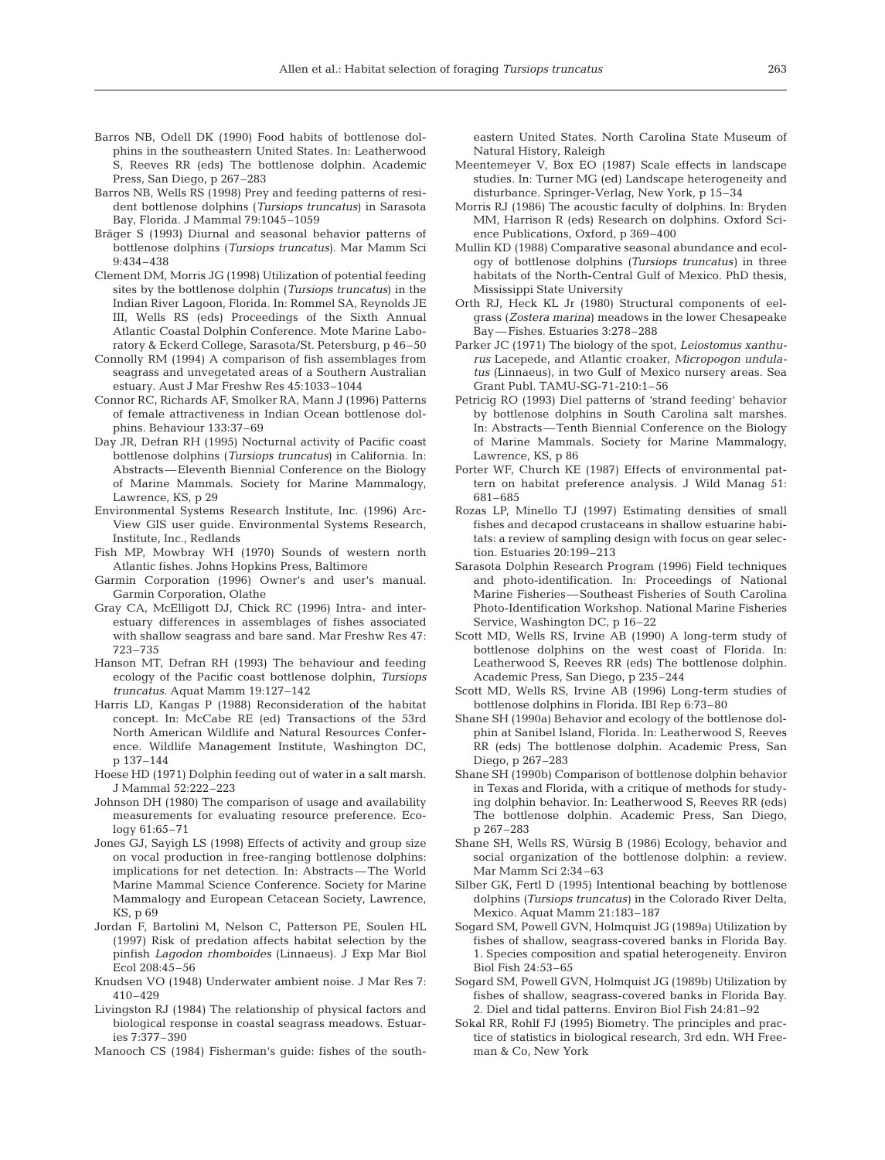- Barros NB, Odell DK (1990) Food habits of bottlenose dolphins in the southeastern United States. In: Leatherwood S, Reeves RR (eds) The bottlenose dolphin. Academic Press, San Diego, p 267–283
- Barros NB, Wells RS (1998) Prey and feeding patterns of resident bottlenose dolphins (*Tursiops truncatus*) in Sarasota Bay, Florida. J Mammal 79:1045–1059
- Bräger S (1993) Diurnal and seasonal behavior patterns of bottlenose dolphins (*Tursiops truncatus*). Mar Mamm Sci 9:434–438
- Clement DM, Morris JG (1998) Utilization of potential feeding sites by the bottlenose dolphin (*Tursiops truncatus*) in the Indian River Lagoon, Florida. In: Rommel SA, Reynolds JE III, Wells RS (eds) Proceedings of the Sixth Annual Atlantic Coastal Dolphin Conference. Mote Marine Laboratory & Eckerd College, Sarasota/St. Petersburg, p 46–50
- Connolly RM (1994) A comparison of fish assemblages from seagrass and unvegetated areas of a Southern Australian estuary. Aust J Mar Freshw Res 45:1033–1044
- Connor RC, Richards AF, Smolker RA, Mann J (1996) Patterns of female attractiveness in Indian Ocean bottlenose dolphins. Behaviour 133:37–69
- Day JR, Defran RH (1995) Nocturnal activity of Pacific coast bottlenose dolphins (*Tursiops truncatus*) in California. In: Abstracts—Eleventh Biennial Conference on the Biology of Marine Mammals. Society for Marine Mammalogy, Lawrence, KS, p 29
- Environmental Systems Research Institute, Inc. (1996) Arc-View GIS user guide. Environmental Systems Research, Institute, Inc., Redlands
- Fish MP, Mowbray WH (1970) Sounds of western north Atlantic fishes. Johns Hopkins Press, Baltimore
- Garmin Corporation (1996) Owner's and user's manual. Garmin Corporation, Olathe
- Gray CA, McElligott DJ, Chick RC (1996) Intra- and interestuary differences in assemblages of fishes associated with shallow seagrass and bare sand. Mar Freshw Res 47: 723–735
- Hanson MT, Defran RH (1993) The behaviour and feeding ecology of the Pacific coast bottlenose dolphin, *Tursiops truncatus*. Aquat Mamm 19:127–142
- Harris LD, Kangas P (1988) Reconsideration of the habitat concept. In: McCabe RE (ed) Transactions of the 53rd North American Wildlife and Natural Resources Conference. Wildlife Management Institute, Washington DC, p 137–144
- Hoese HD (1971) Dolphin feeding out of water in a salt marsh. J Mammal 52:222–223
- Johnson DH (1980) The comparison of usage and availability measurements for evaluating resource preference. Ecology 61:65–71
- Jones GJ, Sayigh LS (1998) Effects of activity and group size on vocal production in free-ranging bottlenose dolphins: implications for net detection. In: Abstracts—The World Marine Mammal Science Conference. Society for Marine Mammalogy and European Cetacean Society, Lawrence, KS, p 69
- Jordan F, Bartolini M, Nelson C, Patterson PE, Soulen HL (1997) Risk of predation affects habitat selection by the pinfish *Lagodon rhomboides* (Linnaeus). J Exp Mar Biol Ecol 208:45–56
- Knudsen VO (1948) Underwater ambient noise. J Mar Res 7: 410–429
- Livingston RJ (1984) The relationship of physical factors and biological response in coastal seagrass meadows. Estuaries 7:377–390
- Manooch CS (1984) Fisherman's guide: fishes of the south-

eastern United States. North Carolina State Museum of Natural History, Raleigh

- Meentemeyer V, Box EO (1987) Scale effects in landscape studies. In: Turner MG (ed) Landscape heterogeneity and disturbance. Springer-Verlag, New York, p 15–34
- Morris RJ (1986) The acoustic faculty of dolphins. In: Bryden MM, Harrison R (eds) Research on dolphins. Oxford Science Publications, Oxford, p 369–400
- Mullin KD (1988) Comparative seasonal abundance and ecology of bottlenose dolphins *(Tursiops truncatus)* in three habitats of the North-Central Gulf of Mexico. PhD thesis, Mississippi State University
- Orth RJ, Heck KL Jr (1980) Structural components of eelgrass (*Zostera marina*) meadows in the lower Chesapeake Bay—Fishes. Estuaries 3:278–288
- Parker JC (1971) The biology of the spot, *Leiostomus xanthurus* Lacepede, and Atlantic croaker, *Micropogon undulatus* (Linnaeus), in two Gulf of Mexico nursery areas. Sea Grant Publ. TAMU-SG-71-210:1–56
- Petricig RO (1993) Diel patterns of 'strand feeding' behavior by bottlenose dolphins in South Carolina salt marshes. In: Abstracts—Tenth Biennial Conference on the Biology of Marine Mammals. Society for Marine Mammalogy, Lawrence, KS, p 86
- Porter WF, Church KE (1987) Effects of environmental pattern on habitat preference analysis. J Wild Manag 51: 681–685
- Rozas LP, Minello TJ (1997) Estimating densities of small fishes and decapod crustaceans in shallow estuarine habitats: a review of sampling design with focus on gear selection. Estuaries 20:199–213
- Sarasota Dolphin Research Program (1996) Field techniques and photo-identification. In: Proceedings of National Marine Fisheries—Southeast Fisheries of South Carolina Photo-Identification Workshop. National Marine Fisheries Service, Washington DC, p 16–22
- Scott MD, Wells RS, Irvine AB (1990) A long-term study of bottlenose dolphins on the west coast of Florida. In: Leatherwood S, Reeves RR (eds) The bottlenose dolphin. Academic Press, San Diego, p 235–244
- Scott MD, Wells RS, Irvine AB (1996) Long-term studies of bottlenose dolphins in Florida. IBI Rep 6:73–80
- Shane SH (1990a) Behavior and ecology of the bottlenose dolphin at Sanibel Island, Florida. In: Leatherwood S, Reeves RR (eds) The bottlenose dolphin. Academic Press, San Diego, p 267–283
- Shane SH (1990b) Comparison of bottlenose dolphin behavior in Texas and Florida, with a critique of methods for studying dolphin behavior. In: Leatherwood S, Reeves RR (eds) The bottlenose dolphin. Academic Press, San Diego, p 267–283
- Shane SH, Wells RS, Würsig B (1986) Ecology, behavior and social organization of the bottlenose dolphin: a review. Mar Mamm Sci 2:34–63
- Silber GK, Fertl D (1995) Intentional beaching by bottlenose dolphins *(Tursiops truncatus)* in the Colorado River Delta, Mexico. Aquat Mamm 21:183–187
- Sogard SM, Powell GVN, Holmquist JG (1989a) Utilization by fishes of shallow, seagrass-covered banks in Florida Bay. 1. Species composition and spatial heterogeneity. Environ Biol Fish 24:53–65
- Sogard SM, Powell GVN, Holmquist JG (1989b) Utilization by fishes of shallow, seagrass-covered banks in Florida Bay. 2. Diel and tidal patterns. Environ Biol Fish 24:81–92
- Sokal RR, Rohlf FJ (1995) Biometry. The principles and practice of statistics in biological research, 3rd edn. WH Freeman & Co, New York